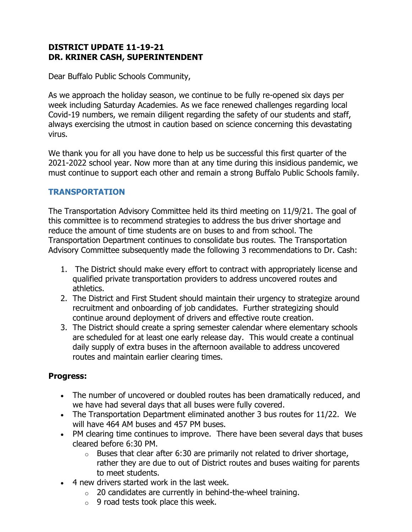# **DISTRICT UPDATE 11-19-21 DR. KRINER CASH, SUPERINTENDENT**

Dear Buffalo Public Schools Community,

As we approach the holiday season, we continue to be fully re-opened six days per week including Saturday Academies. As we face renewed challenges regarding local Covid-19 numbers, we remain diligent regarding the safety of our students and staff, always exercising the utmost in caution based on science concerning this devastating virus.

We thank you for all you have done to help us be successful this first quarter of the 2021-2022 school year. Now more than at any time during this insidious pandemic, we must continue to support each other and remain a strong Buffalo Public Schools family.

# **TRANSPORTATION**

The Transportation Advisory Committee held its third meeting on 11/9/21. The goal of this committee is to recommend strategies to address the bus driver shortage and reduce the amount of time students are on buses to and from school. The Transportation Department continues to consolidate bus routes. The Transportation Advisory Committee subsequently made the following 3 recommendations to Dr. Cash:

- 1. The District should make every effort to contract with appropriately license and qualified private transportation providers to address uncovered routes and athletics.
- 2. The District and First Student should maintain their urgency to strategize around recruitment and onboarding of job candidates. Further strategizing should continue around deployment of drivers and effective route creation.
- 3. The District should create a spring semester calendar where elementary schools are scheduled for at least one early release day. This would create a continual daily supply of extra buses in the afternoon available to address uncovered routes and maintain earlier clearing times.

# **Progress:**

- The number of uncovered or doubled routes has been dramatically reduced, and we have had several days that all buses were fully covered.
- The Transportation Department eliminated another 3 bus routes for 11/22. We will have 464 AM buses and 457 PM buses.
- PM clearing time continues to improve. There have been several days that buses cleared before 6:30 PM.
	- $\circ$  Buses that clear after 6:30 are primarily not related to driver shortage, rather they are due to out of District routes and buses waiting for parents to meet students.
- 4 new drivers started work in the last week.
	- $\circ$  20 candidates are currently in behind-the-wheel training.
	- $\circ$  9 road tests took place this week.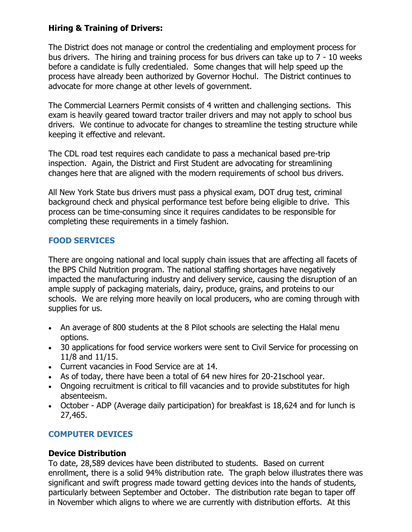## **Hiring & Training of Drivers:**

The District does not manage or control the credentialing and employment process for bus drivers. The hiring and training process for bus drivers can take up to 7 - 10 weeks before a candidate is fully credentialed. Some changes that will help speed up the process have already been authorized by Governor Hochul. The District continues to advocate for more change at other levels of government.

The Commercial Learners Permit consists of 4 written and challenging sections. This exam is heavily geared toward tractor trailer drivers and may not apply to school bus drivers. We continue to advocate for changes to streamline the testing structure while keeping it effective and relevant.

The CDL road test requires each candidate to pass a mechanical based pre-trip inspection. Again, the District and First Student are advocating for streamlining changes here that are aligned with the modern requirements of school bus drivers.

All New York State bus drivers must pass a physical exam, DOT drug test, criminal background check and physical performance test before being eligible to drive. This process can be time-consuming since it requires candidates to be responsible for completing these requirements in a timely fashion.

# **FOOD SERVICES**

There are ongoing national and local supply chain issues that are affecting all facets of the BPS Child Nutrition program. The national staffing shortages have negatively impacted the manufacturing industry and delivery service, causing the disruption of an ample supply of packaging materials, dairy, produce, grains, and proteins to our schools. We are relying more heavily on local producers, who are coming through with supplies for us.

- An average of 800 students at the 8 Pilot schools are selecting the Halal menu options.
- 30 applications for food service workers were sent to Civil Service for processing on 11/8 and 11/15.
- Current vacancies in Food Service are at 14.
- As of today, there have been a total of 64 new hires for 20-21school year.
- Ongoing recruitment is critical to fill vacancies and to provide substitutes for high absenteeism.
- October ADP (Average daily participation) for breakfast is 18,624 and for lunch is 27,465.

# **COMPUTER DEVICES**

### **Device Distribution**

To date, 28,589 devices have been distributed to students. Based on current enrollment, there is a solid 94% distribution rate. The graph below illustrates there was significant and swift progress made toward getting devices into the hands of students, particularly between September and October. The distribution rate began to taper off in November which aligns to where we are currently with distribution efforts. At this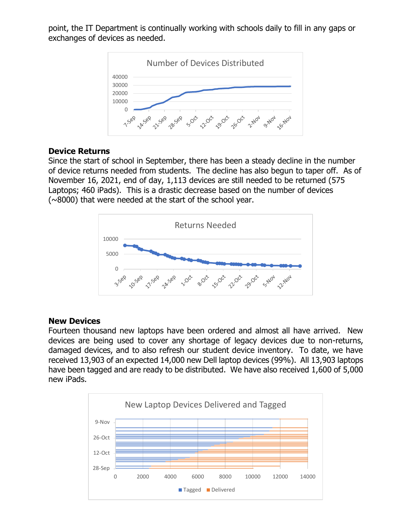point, the IT Department is continually working with schools daily to fill in any gaps or exchanges of devices as needed.



### **Device Returns**

Since the start of school in September, there has been a steady decline in the number of device returns needed from students. The decline has also begun to taper off. As of November 16, 2021, end of day, 1,113 devices are still needed to be returned (575 Laptops; 460 iPads). This is a drastic decrease based on the number of devices (~8000) that were needed at the start of the school year.



#### **New Devices**

Fourteen thousand new laptops have been ordered and almost all have arrived. New devices are being used to cover any shortage of legacy devices due to non-returns, damaged devices, and to also refresh our student device inventory. To date, we have received 13,903 of an expected 14,000 new Dell laptop devices (99%). All 13,903 laptops have been tagged and are ready to be distributed. We have also received 1,600 of 5,000 new iPads.

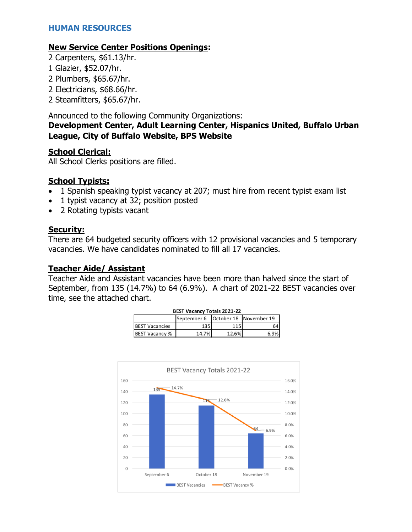### **New Service Center Positions Openings:**

- 2 Carpenters, \$61.13/hr.
- 1 Glazier, \$52.07/hr.
- 2 Plumbers, \$65.67/hr.
- 2 Electricians, \$68.66/hr.
- 2 Steamfitters, \$65.67/hr.

Announced to the following Community Organizations:

### **Development Center, Adult Learning Center, Hispanics United, Buffalo Urban League, City of Buffalo Website, BPS Website**

### **School Clerical:**

All School Clerks positions are filled.

## **School Typists:**

- 1 Spanish speaking typist vacancy at 207; must hire from recent typist exam list
- 1 typist vacancy at 32; position posted
- 2 Rotating typists vacant

## **Security:**

There are 64 budgeted security officers with 12 provisional vacancies and 5 temporary vacancies. We have candidates nominated to fill all 17 vacancies.

### **Teacher Aide/ Assistant**

Teacher Aide and Assistant vacancies have been more than halved since the start of September, from 135 (14.7%) to 64 (6.9%). A chart of 2021-22 BEST vacancies over time, see the attached chart.

|     |       | September 6   October 18   November 19 |
|-----|-------|----------------------------------------|
|     |       |                                        |
| 135 | 115   | 64                                     |
|     | 12.6% | 6.9%                                   |
|     |       | 14.7%l                                 |

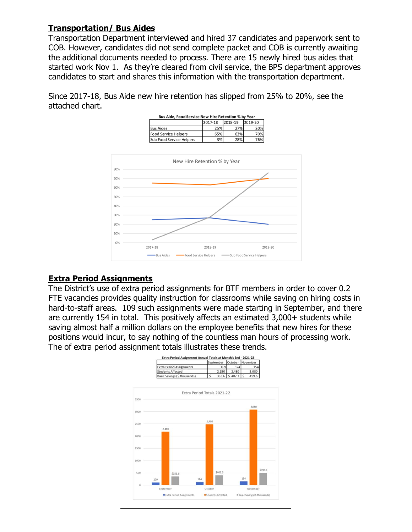## **Transportation/ Bus Aides**

Transportation Department interviewed and hired 37 candidates and paperwork sent to COB. However, candidates did not send complete packet and COB is currently awaiting the additional documents needed to process. There are 15 newly hired bus aides that started work Nov 1. As they're cleared from civil service, the BPS department approves candidates to start and shares this information with the transportation department.

Since 2017-18, Bus Aide new hire retention has slipped from 25% to 20%, see the attached chart.



# **Extra Period Assignments**

The District's use of extra period assignments for BTF members in order to cover 0.2 FTE vacancies provides quality instruction for classrooms while saving on hiring costs in hard-to-staff areas. 109 such assignments were made starting in September, and there are currently 154 in total. This positively affects an estimated 3,000+ students while saving almost half a million dollars on the employee benefits that new hires for these positions would incur, to say nothing of the countless man hours of processing work. The of extra period assignment totals illustrates these trends.

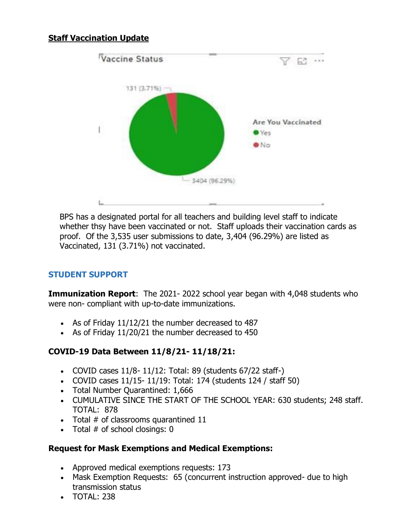# **Staff Vaccination Update**



BPS has a designated portal for all teachers and building level staff to indicate whether thsy have been vaccinated or not. Staff uploads their vaccination cards as proof. Of the 3,535 user submissions to date, 3,404 (96.29%) are listed as Vaccinated, 131 (3.71%) not vaccinated.

# **STUDENT SUPPORT**

**Immunization Report:** The 2021-2022 school year began with 4,048 students who were non- compliant with up-to-date immunizations.

- As of Friday 11/12/21 the number decreased to 487
- As of Friday 11/20/21 the number decreased to 450

### **COVID-19 Data Between 11/8/21- 11/18/21:**

- COVID cases  $11/8 11/12$ : Total: 89 (students  $67/22$  staff-)
- COVID cases 11/15- 11/19: Total: 174 (students 124 / staff 50)
- Total Number Quarantined: 1,666
- CUMULATIVE SINCE THE START OF THE SCHOOL YEAR: 630 students; 248 staff. TOTAL: 878
- Total # of classrooms quarantined 11
- Total  $#$  of school closings:  $0$

### **Request for Mask Exemptions and Medical Exemptions:**

- Approved medical exemptions requests: 173
- Mask Exemption Requests: 65 (concurrent instruction approved- due to high transmission status
- TOTAL: 238